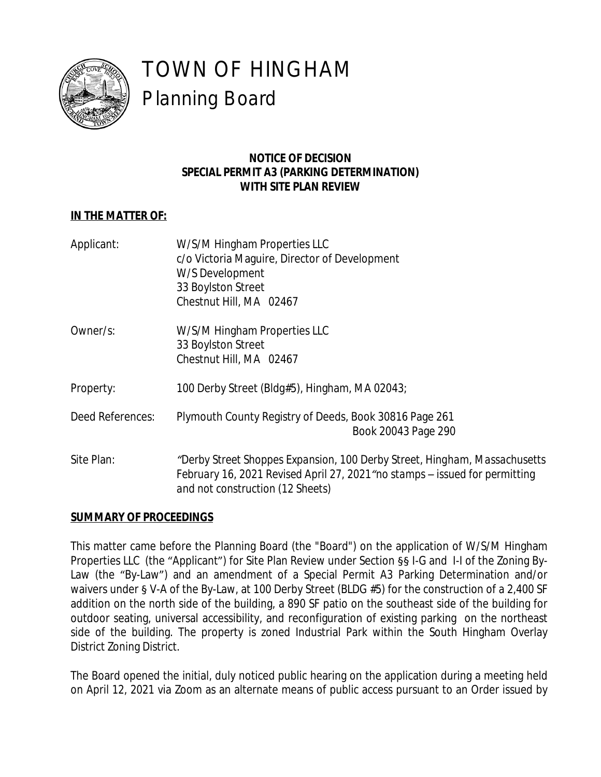

# TOWN OF HINGHAM Planning Board

# **NOTICE OF DECISION SPECIAL PERMIT A3 (PARKING DETERMINATION) WITH SITE PLAN REVIEW**

# **IN THE MATTER OF:**

| Applicant:       | W/S/M Hingham Properties LLC<br>c/o Victoria Maguire, Director of Development<br>W/S Development<br>33 Boylston Street<br>Chestnut Hill, MA 02467                                            |
|------------------|----------------------------------------------------------------------------------------------------------------------------------------------------------------------------------------------|
| Owner/s:         | W/S/M Hingham Properties LLC<br>33 Boylston Street<br>Chestnut Hill, MA 02467                                                                                                                |
| Property:        | 100 Derby Street (Bldg#5), Hingham, MA 02043;                                                                                                                                                |
| Deed References: | Plymouth County Registry of Deeds, Book 30816 Page 261<br>Book 20043 Page 290                                                                                                                |
| Site Plan:       | "Derby Street Shoppes Expansion, 100 Derby Street, Hingham, Massachusetts<br>February 16, 2021 Revised April 27, 2021" no stamps – issued for permitting<br>and not construction (12 Sheets) |

# **SUMMARY OF PROCEEDINGS**

This matter came before the Planning Board (the "Board") on the application of W/S/M Hingham Properties LLC (the "Applicant") for Site Plan Review under Section §§ I-G and I-I of the Zoning By-Law (the "By-Law") and an amendment of a Special Permit A3 Parking Determination and/or waivers under § V-A of the By-Law, at 100 Derby Street (BLDG #5) for the construction of a 2,400 SF addition on the north side of the building, a 890 SF patio on the southeast side of the building for outdoor seating, universal accessibility, and reconfiguration of existing parking on the northeast side of the building. The property is zoned Industrial Park within the South Hingham Overlay District Zoning District.

The Board opened the initial, duly noticed public hearing on the application during a meeting held on April 12, 2021 via Zoom as an alternate means of public access pursuant to an Order issued by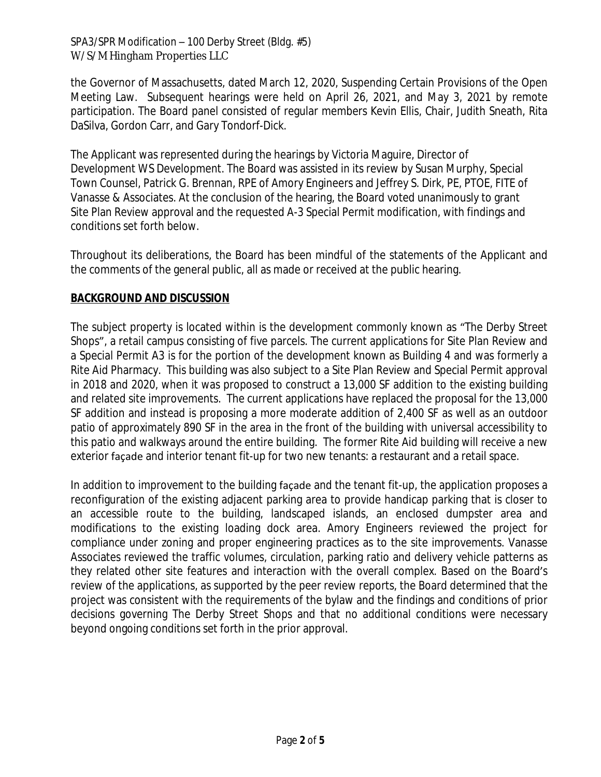#### SPA3/SPR Modification – 100 Derby Street (Bldg. #5) W/S/M Hingham Properties LLC

the Governor of Massachusetts, dated March 12, 2020, Suspending Certain Provisions of the Open Meeting Law. Subsequent hearings were held on April 26, 2021, and May 3, 2021 by remote participation. The Board panel consisted of regular members Kevin Ellis, Chair, Judith Sneath, Rita DaSilva, Gordon Carr, and Gary Tondorf-Dick.

The Applicant was represented during the hearings by Victoria Maguire, Director of Development WS Development. The Board was assisted in its review by Susan Murphy, Special Town Counsel, Patrick G. Brennan, RPE of Amory Engineers and Jeffrey S. Dirk, PE, PTOE, FITE of Vanasse & Associates. At the conclusion of the hearing, the Board voted unanimously to grant Site Plan Review approval and the requested A-3 Special Permit modification, with findings and conditions set forth below.

Throughout its deliberations, the Board has been mindful of the statements of the Applicant and the comments of the general public, all as made or received at the public hearing.

# **BACKGROUND AND DISCUSSION**

The subject property is located within is the development commonly known as "The Derby Street Shops", a retail campus consisting of five parcels. The current applications for Site Plan Review and a Special Permit A3 is for the portion of the development known as Building 4 and was formerly a Rite Aid Pharmacy. This building was also subject to a Site Plan Review and Special Permit approval in 2018 and 2020, when it was proposed to construct a 13,000 SF addition to the existing building and related site improvements. The current applications have replaced the proposal for the 13,000 SF addition and instead is proposing a more moderate addition of 2,400 SF as well as an outdoor patio of approximately 890 SF in the area in the front of the building with universal accessibility to this patio and walkways around the entire building. The former Rite Aid building will receive a new exterior façade and interior tenant fit-up for two new tenants: a restaurant and a retail space.

In addition to improvement to the building façade and the tenant fit-up, the application proposes a reconfiguration of the existing adjacent parking area to provide handicap parking that is closer to an accessible route to the building, landscaped islands, an enclosed dumpster area and modifications to the existing loading dock area. Amory Engineers reviewed the project for compliance under zoning and proper engineering practices as to the site improvements. Vanasse Associates reviewed the traffic volumes, circulation, parking ratio and delivery vehicle patterns as they related other site features and interaction with the overall complex. Based on the Board's review of the applications, as supported by the peer review reports, the Board determined that the project was consistent with the requirements of the bylaw and the findings and conditions of prior decisions governing The Derby Street Shops and that no additional conditions were necessary beyond ongoing conditions set forth in the prior approval.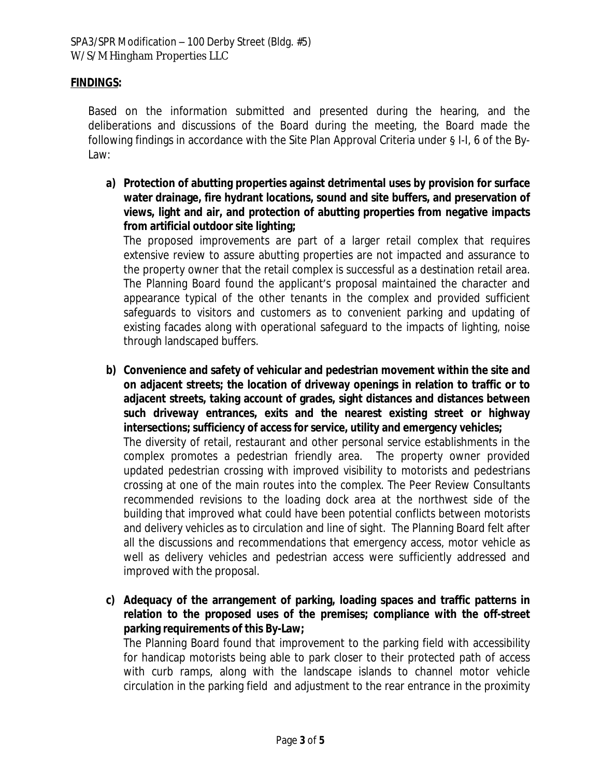#### **FINDINGS:**

Based on the information submitted and presented during the hearing, and the deliberations and discussions of the Board during the meeting, the Board made the following findings in accordance with the Site Plan Approval Criteria under § I-I, 6 of the By-Law:

**a) Protection of abutting properties against detrimental uses by provision for surface water drainage, fire hydrant locations, sound and site buffers, and preservation of views, light and air, and protection of abutting properties from negative impacts from artificial outdoor site lighting;**

The proposed improvements are part of a larger retail complex that requires extensive review to assure abutting properties are not impacted and assurance to the property owner that the retail complex is successful as a destination retail area. The Planning Board found the applicant's proposal maintained the character and appearance typical of the other tenants in the complex and provided sufficient safeguards to visitors and customers as to convenient parking and updating of existing facades along with operational safeguard to the impacts of lighting, noise through landscaped buffers.

**b) Convenience and safety of vehicular and pedestrian movement within the site and on adjacent streets; the location of driveway openings in relation to traffic or to adjacent streets, taking account of grades, sight distances and distances between such driveway entrances, exits and the nearest existing street or highway intersections; sufficiency of access for service, utility and emergency vehicles;**

The diversity of retail, restaurant and other personal service establishments in the complex promotes a pedestrian friendly area. The property owner provided updated pedestrian crossing with improved visibility to motorists and pedestrians crossing at one of the main routes into the complex. The Peer Review Consultants recommended revisions to the loading dock area at the northwest side of the building that improved what could have been potential conflicts between motorists and delivery vehicles as to circulation and line of sight. The Planning Board felt after all the discussions and recommendations that emergency access, motor vehicle as well as delivery vehicles and pedestrian access were sufficiently addressed and improved with the proposal.

**c) Adequacy of the arrangement of parking, loading spaces and traffic patterns in relation to the proposed uses of the premises; compliance with the off-street parking requirements of this By-Law;**

The Planning Board found that improvement to the parking field with accessibility for handicap motorists being able to park closer to their protected path of access with curb ramps, along with the landscape islands to channel motor vehicle circulation in the parking field and adjustment to the rear entrance in the proximity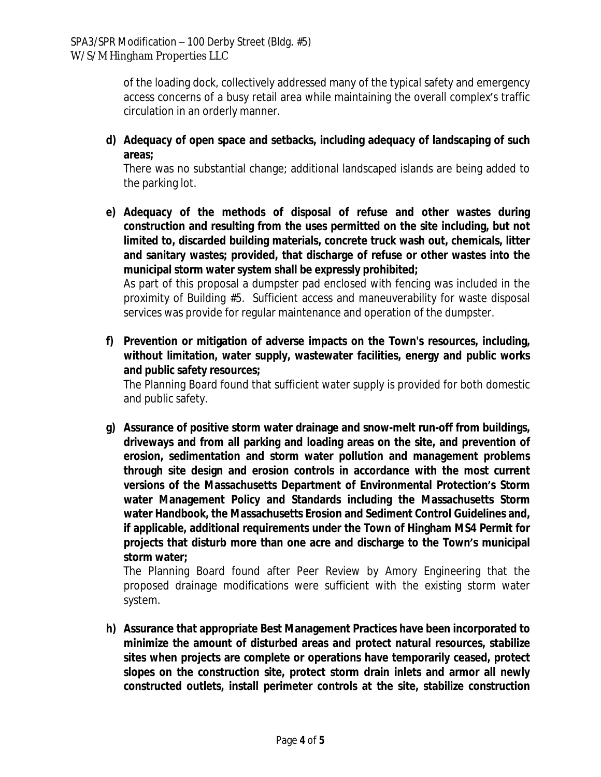of the loading dock, collectively addressed many of the typical safety and emergency access concerns of a busy retail area while maintaining the overall complex's traffic circulation in an orderly manner.

**d) Adequacy of open space and setbacks, including adequacy of landscaping of such areas;**

There was no substantial change; additional landscaped islands are being added to the parking lot.

**e) Adequacy of the methods of disposal of refuse and other wastes during construction and resulting from the uses permitted on the site including, but not limited to, discarded building materials, concrete truck wash out, chemicals, litter and sanitary wastes; provided, that discharge of refuse or other wastes into the municipal storm water system shall be expressly prohibited;**

As part of this proposal a dumpster pad enclosed with fencing was included in the proximity of Building #5. Sufficient access and maneuverability for waste disposal services was provide for regular maintenance and operation of the dumpster.

**f) Prevention or mitigation of adverse impacts on the Town's resources, including, without limitation, water supply, wastewater facilities, energy and public works and public safety resources;**

The Planning Board found that sufficient water supply is provided for both domestic and public safety.

**g) Assurance of positive storm water drainage and snow-melt run-off from buildings, driveways and from all parking and loading areas on the site, and prevention of erosion, sedimentation and storm water pollution and management problems through site design and erosion controls in accordance with the most current versions of the Massachusetts Department of Environmental Protection's Storm water Management Policy and Standards including the Massachusetts Storm water Handbook, the Massachusetts Erosion and Sediment Control Guidelines and, if applicable, additional requirements under the Town of Hingham MS4 Permit for projects that disturb more than one acre and discharge to the Town's municipal storm water;**

The Planning Board found after Peer Review by Amory Engineering that the proposed drainage modifications were sufficient with the existing storm water system.

**h) Assurance that appropriate Best Management Practices have been incorporated to minimize the amount of disturbed areas and protect natural resources, stabilize sites when projects are complete or operations have temporarily ceased, protect slopes on the construction site, protect storm drain inlets and armor all newly constructed outlets, install perimeter controls at the site, stabilize construction**